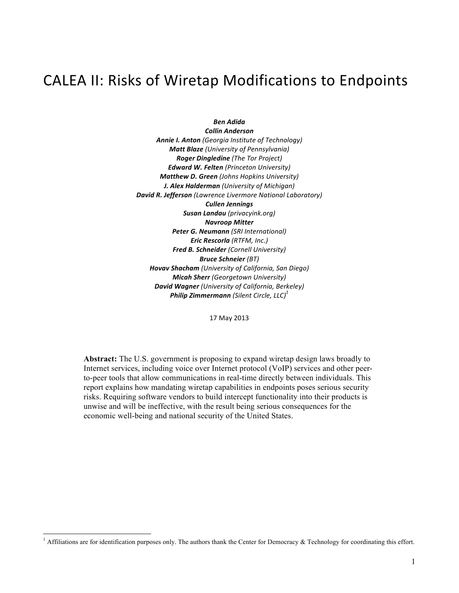# CALEA II: Risks of Wiretap Modifications to Endpoints

*Ben Adida*

*Collin Anderson Annie I. Anton (Georgia Institute of Technology) Matt Blaze (University of Pennsylvania) Roger Dingledine (The Tor Project) Edward W. Felten (Princeton University) Matthew D. Green (Johns Hopkins University) J. Alex Halderman (University of Michigan) David R. Jefferson (Lawrence Livermore National Laboratory) Cullen Jennings Susan Landau (privacyink.org) Navroop Mitter Peter G. Neumann (SRI International) Eric Rescorla (RTFM, Inc.) Fred B. Schneider (Cornell University) Bruce Schneier (BT) Hovav Shacham (University of California, San Diego) Micah Sherr (Georgetown University) David Wagner (University of California, Berkeley) Philip Zimmermann (Silent Circle, LLC) 1*

17 May 2013

**Abstract:** The U.S. government is proposing to expand wiretap design laws broadly to Internet services, including voice over Internet protocol (VoIP) services and other peerto-peer tools that allow communications in real-time directly between individuals. This report explains how mandating wiretap capabilities in endpoints poses serious security risks. Requiring software vendors to build intercept functionality into their products is unwise and will be ineffective, with the result being serious consequences for the economic well-being and national security of the United States.

 $1$  Affiliations are for identification purposes only. The authors thank the Center for Democracy  $\&$  Technology for coordinating this effort.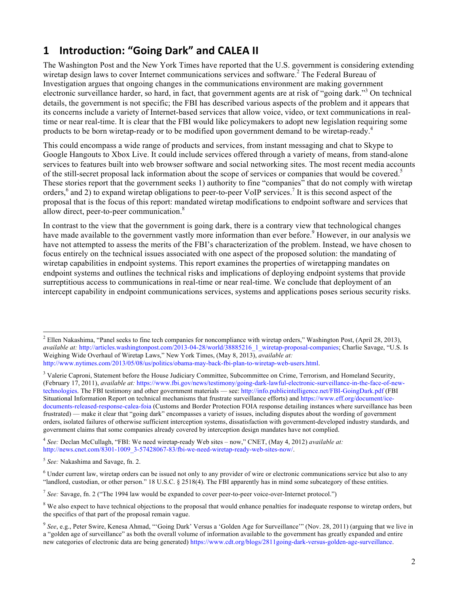### **1 Introduction: "Going Dark" and CALEA II**

The Washington Post and the New York Times have reported that the U.S. government is considering extending wiretap design laws to cover Internet communications services and software.<sup>2</sup> The Federal Bureau of Investigation argues that ongoing changes in the communications environment are making government electronic surveillance harder, so hard, in fact, that government agents are at risk of "going dark."<sup>3</sup> On technical details, the government is not specific; the FBI has described various aspects of the problem and it appears that its concerns include a variety of Internet-based services that allow voice, video, or text communications in realtime or near real-time. It is clear that the FBI would like policymakers to adopt new legislation requiring some products to be born wiretap-ready or to be modified upon government demand to be wiretap-ready.<sup>4</sup>

This could encompass a wide range of products and services, from instant messaging and chat to Skype to Google Hangouts to Xbox Live. It could include services offered through a variety of means, from stand-alone services to features built into web browser software and social networking sites. The most recent media accounts of the still-secret proposal lack information about the scope of services or companies that would be covered.<sup>5</sup> These stories report that the government seeks 1) authority to fine "companies" that do not comply with wiretap orders,<sup>6</sup> and 2) to expand wiretap obligations to peer-to-peer VoIP services.<sup>7</sup> It is this second aspect of the proposal that is the focus of this report: mandated wiretap modifications to endpoint software and services that allow direct, peer-to-peer communication.<sup>8</sup>

In contrast to the view that the government is going dark, there is a contrary view that technological changes have made available to the government vastly more information than ever before.<sup>9</sup> However, in our analysis we have not attempted to assess the merits of the FBI's characterization of the problem. Instead, we have chosen to focus entirely on the technical issues associated with one aspect of the proposed solution: the mandating of wiretap capabilities in endpoint systems. This report examines the properties of wiretapping mandates on endpoint systems and outlines the technical risks and implications of deploying endpoint systems that provide surreptitious access to communications in real-time or near real-time. We conclude that deployment of an intercept capability in endpoint communications services, systems and applications poses serious security risks.

<sup>4</sup> *See:* Declan McCullagh, "FBI: We need wiretap-ready Web sites – now," CNET, (May 4, 2012) *available at:* http://news.cnet.com/8301-1009\_3-57428067-83/fbi-we-need-wiretap-ready-web-sites-now/.

<sup>7</sup> *See:* Savage, fn. 2 ("The 1994 law would be expanded to cover peer-to-peer voice-over-Internet protocol.")

 $2$  Ellen Nakashima, "Panel seeks to fine tech companies for noncompliance with wiretap orders," Washington Post, (April 28, 2013), *available at:* http://articles.washingtonpost.com/2013-04-28/world/38885216\_1\_wiretap-proposal-companies; Charlie Savage, "U.S. Is Weighing Wide Overhaul of Wiretap Laws," New York Times, (May 8, 2013), *available at:* http://www.nytimes.com/2013/05/08/us/politics/obama-may-back-fbi-plan-to-wiretap-web-users.html.

<sup>&</sup>lt;sup>3</sup> Valerie Caproni, Statement before the House Judiciary Committee, Subcommittee on Crime, Terrorism, and Homeland Security, (February 17, 2011), *available at:* https://www.fbi.gov/news/testimony/going-dark-lawful-electronic-surveillance-in-the-face-of-newtechnologies. The FBI testimony and other government materials — see: http://info.publicintelligence.net/FBI-GoingDark.pdf (FBI Situational Information Report on technical mechanisms that frustrate surveillance efforts) and https://www.eff.org/document/icedocuments-released-response-calea-foia (Customs and Border Protection FOIA response detailing instances where surveillance has been frustrated) — make it clear that "going dark" encompasses a variety of issues, including disputes about the wording of government orders, isolated failures of otherwise sufficient interception systems, dissatisfaction with government-developed industry standards, and government claims that some companies already covered by interception design mandates have not complied.

<sup>5</sup> *See:* Nakashima and Savage, fn. 2.

 $6$  Under current law, wiretap orders can be issued not only to any provider of wire or electronic communications service but also to any "landlord, custodian, or other person." 18 U.S.C. § 2518(4). The FBI apparently has in mind some subcategory of these entities.

<sup>&</sup>lt;sup>8</sup> We also expect to have technical objections to the proposal that would enhance penalties for inadequate response to wiretap orders, but the specifics of that part of the proposal remain vague.

<sup>9</sup> *See*, e.g., Peter Swire, Kenesa Ahmad, "'Going Dark' Versus a 'Golden Age for Surveillance'" (Nov. 28, 2011) (arguing that we live in a "golden age of surveillance" as both the overall volume of information available to the government has greatly expanded and entire new categories of electronic data are being generated) https://www.cdt.org/blogs/2811going-dark-versus-golden-age-surveillance.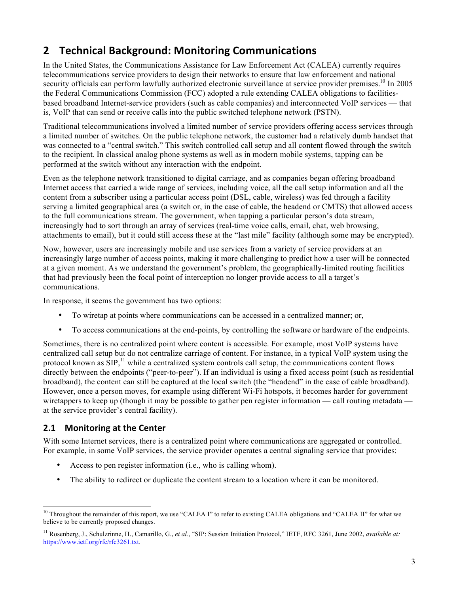## **2 Technical Background: Monitoring Communications**

In the United States, the Communications Assistance for Law Enforcement Act (CALEA) currently requires telecommunications service providers to design their networks to ensure that law enforcement and national security officials can perform lawfully authorized electronic surveillance at service provider premises.<sup>10</sup> In 2005 the Federal Communications Commission (FCC) adopted a rule extending CALEA obligations to facilitiesbased broadband Internet-service providers (such as cable companies) and interconnected VoIP services — that is, VoIP that can send or receive calls into the public switched telephone network (PSTN).

Traditional telecommunications involved a limited number of service providers offering access services through a limited number of switches. On the public telephone network, the customer had a relatively dumb handset that was connected to a "central switch." This switch controlled call setup and all content flowed through the switch to the recipient. In classical analog phone systems as well as in modern mobile systems, tapping can be performed at the switch without any interaction with the endpoint.

Even as the telephone network transitioned to digital carriage, and as companies began offering broadband Internet access that carried a wide range of services, including voice, all the call setup information and all the content from a subscriber using a particular access point (DSL, cable, wireless) was fed through a facility serving a limited geographical area (a switch or, in the case of cable, the headend or CMTS) that allowed access to the full communications stream. The government, when tapping a particular person's data stream, increasingly had to sort through an array of services (real-time voice calls, email, chat, web browsing, attachments to email), but it could still access these at the "last mile" facility (although some may be encrypted).

Now, however, users are increasingly mobile and use services from a variety of service providers at an increasingly large number of access points, making it more challenging to predict how a user will be connected at a given moment. As we understand the government's problem, the geographically-limited routing facilities that had previously been the focal point of interception no longer provide access to all a target's communications.

In response, it seems the government has two options:

- To wiretap at points where communications can be accessed in a centralized manner; or,
- To access communications at the end-points, by controlling the software or hardware of the endpoints.

Sometimes, there is no centralized point where content is accessible. For example, most VoIP systems have centralized call setup but do not centralize carriage of content. For instance, in a typical VoIP system using the protocol known as SIP,<sup>11</sup> while a centralized system controls call setup, the communications content flows directly between the endpoints ("peer-to-peer"). If an individual is using a fixed access point (such as residential broadband), the content can still be captured at the local switch (the "headend" in the case of cable broadband). However, once a person moves, for example using different Wi-Fi hotspots, it becomes harder for government wiretappers to keep up (though it may be possible to gather pen register information — call routing metadata at the service provider's central facility).

### **2.1 Monitoring at the Center**

With some Internet services, there is a centralized point where communications are aggregated or controlled. For example, in some VoIP services, the service provider operates a central signaling service that provides:

- Access to pen register information (i.e., who is calling whom).
- The ability to redirect or duplicate the content stream to a location where it can be monitored.

<sup>&</sup>lt;sup>10</sup> Throughout the remainder of this report, we use "CALEA I" to refer to existing CALEA obligations and "CALEA II" for what we believe to be currently proposed changes.

<sup>11</sup> Rosenberg, J., Schulzrinne, H., Camarillo, G., *et al.*, "SIP: Session Initiation Protocol," IETF, RFC 3261, June 2002, *available at:* https://www.ietf.org/rfc/rfc3261.txt.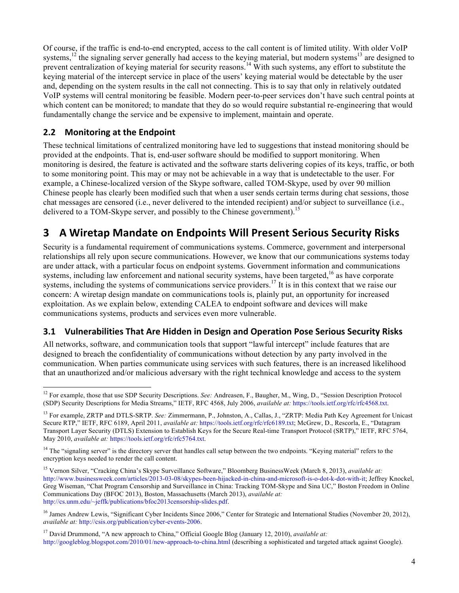Of course, if the traffic is end-to-end encrypted, access to the call content is of limited utility. With older VoIP systems,<sup>12</sup> the signaling server generally had access to the keying material, but modern systems<sup>13</sup> are designed to prevent centralization of keying material for security reasons.<sup>14</sup> With such systems, any effort to substitute the keying material of the intercept service in place of the users' keying material would be detectable by the user and, depending on the system results in the call not connecting. This is to say that only in relatively outdated VoIP systems will central monitoring be feasible. Modern peer-to-peer services don't have such central points at which content can be monitored; to mandate that they do so would require substantial re-engineering that would fundamentally change the service and be expensive to implement, maintain and operate.

### **2.2** Monitoring at the Endpoint

These technical limitations of centralized monitoring have led to suggestions that instead monitoring should be provided at the endpoints. That is, end-user software should be modified to support monitoring. When monitoring is desired, the feature is activated and the software starts delivering copies of its keys, traffic, or both to some monitoring point. This may or may not be achievable in a way that is undetectable to the user. For example, a Chinese-localized version of the Skype software, called TOM-Skype, used by over 90 million Chinese people has clearly been modified such that when a user sends certain terms during chat sessions, those chat messages are censored (i.e., never delivered to the intended recipient) and/or subject to surveillance (i.e., delivered to a TOM-Skype server, and possibly to the Chinese government).<sup>15</sup>

### **3 A Wiretap Mandate on Endpoints Will Present Serious Security Risks**

Security is a fundamental requirement of communications systems. Commerce, government and interpersonal relationships all rely upon secure communications. However, we know that our communications systems today are under attack, with a particular focus on endpoint systems. Government information and communications systems, including law enforcement and national security systems, have been targeted,<sup>16</sup> as have corporate systems, including the systems of communications service providers.<sup>17</sup> It is in this context that we raise our concern: A wiretap design mandate on communications tools is, plainly put, an opportunity for increased exploitation. As we explain below, extending CALEA to endpoint software and devices will make communications systems, products and services even more vulnerable.

### **3.1 Vulnerabilities That Are Hidden in Design and Operation Pose Serious Security Risks**

All networks, software, and communication tools that support "lawful intercept" include features that are designed to breach the confidentiality of communications without detection by any party involved in the communication. When parties communicate using services with such features, there is an increased likelihood that an unauthorized and/or malicious adversary with the right technical knowledge and access to the system

<sup>17</sup> David Drummond, "A new approach to China," Official Google Blog (January 12, 2010), *available at:* http://googleblog.blogspot.com/2010/01/new-approach-to-china.html (describing a sophisticated and targeted attack against Google).

<sup>&</sup>lt;sup>12</sup> For example, those that use SDP Security Descriptions. *See:* Andreasen, F., Baugher, M., Wing, D., "Session Description Protocol (SDP) Security Descriptions for Media Streams," IETF, RFC 4568, July 2006, *available at:* https://tools.ietf.org/rfc/rfc4568.txt.

<sup>13</sup> For example, ZRTP and DTLS-SRTP. *See:* Zimmermann, P., Johnston, A., Callas, J., "ZRTP: Media Path Key Agreement for Unicast Secure RTP," IETF, RFC 6189, April 2011, *available at:* https://tools.ietf.org/rfc/rfc6189.txt; McGrew, D., Rescorla, E., "Datagram Transport Layer Security (DTLS) Extension to Establish Keys for the Secure Real-time Transport Protocol (SRTP)," IETF, RFC 5764, May 2010, *available at:* https://tools.ietf.org/rfc/rfc5764.txt.

<sup>&</sup>lt;sup>14</sup> The "signaling server" is the directory server that handles call setup between the two endpoints. "Keying material" refers to the encryption keys needed to render the call content.

<sup>15</sup> Vernon Silver, "Cracking China's Skype Surveillance Software," Bloomberg BusinessWeek (March 8, 2013), *available at:* http://www.businessweek.com/articles/2013-03-08/skypes-been-hijacked-in-china-and-microsoft-is-o-dot-k-dot-with-it; Jeffrey Knockel, Greg Wiseman, "Chat Program Censorship and Surveillance in China: Tracking TOM-Skype and Sina UC," Boston Freedom in Online Communications Day (BFOC 2013), Boston, Massachusetts (March 2013), *available at:* http://cs.unm.edu/~jeffk/publications/bfoc2013censorship-slides.pdf.

<sup>&</sup>lt;sup>16</sup> James Andrew Lewis, "Significant Cyber Incidents Since 2006," Center for Strategic and International Studies (November 20, 2012), *available at:* http://csis.org/publication/cyber-events-2006.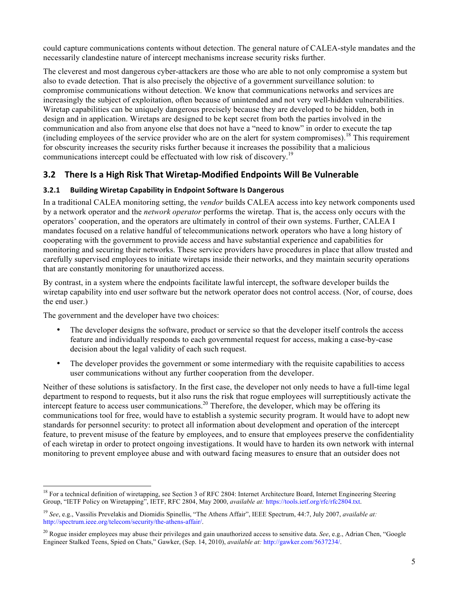could capture communications contents without detection. The general nature of CALEA-style mandates and the necessarily clandestine nature of intercept mechanisms increase security risks further.

The cleverest and most dangerous cyber-attackers are those who are able to not only compromise a system but also to evade detection. That is also precisely the objective of a government surveillance solution: to compromise communications without detection. We know that communications networks and services are increasingly the subject of exploitation, often because of unintended and not very well-hidden vulnerabilities. Wiretap capabilities can be uniquely dangerous precisely because they are developed to be hidden, both in design and in application. Wiretaps are designed to be kept secret from both the parties involved in the communication and also from anyone else that does not have a "need to know" in order to execute the tap (including employees of the service provider who are on the alert for system compromises). <sup>18</sup> This requirement for obscurity increases the security risks further because it increases the possibility that a malicious communications intercept could be effectuated with low risk of discovery.<sup>19</sup>

### **3.2 There Is a High Risk That Wiretap-Modified Endpoints Will Be Vulnerable**

#### **3.2.1 Building Wiretap Capability in Endpoint Software Is Dangerous**

In a traditional CALEA monitoring setting, the *vendor* builds CALEA access into key network components used by a network operator and the *network operator* performs the wiretap. That is, the access only occurs with the operators' cooperation, and the operators are ultimately in control of their own systems. Further, CALEA I mandates focused on a relative handful of telecommunications network operators who have a long history of cooperating with the government to provide access and have substantial experience and capabilities for monitoring and securing their networks. These service providers have procedures in place that allow trusted and carefully supervised employees to initiate wiretaps inside their networks, and they maintain security operations that are constantly monitoring for unauthorized access.

By contrast, in a system where the endpoints facilitate lawful intercept, the software developer builds the wiretap capability into end user software but the network operator does not control access. (Nor, of course, does the end user.)

The government and the developer have two choices:

- The developer designs the software, product or service so that the developer itself controls the access feature and individually responds to each governmental request for access, making a case-by-case decision about the legal validity of each such request.
- The developer provides the government or some intermediary with the requisite capabilities to access user communications without any further cooperation from the developer.

Neither of these solutions is satisfactory. In the first case, the developer not only needs to have a full-time legal department to respond to requests, but it also runs the risk that rogue employees will surreptitiously activate the intercept feature to access user communications.<sup>20</sup> Therefore, the developer, which may be offering its communications tool for free, would have to establish a systemic security program. It would have to adopt new standards for personnel security: to protect all information about development and operation of the intercept feature, to prevent misuse of the feature by employees, and to ensure that employees preserve the confidentiality of each wiretap in order to protect ongoing investigations. It would have to harden its own network with internal monitoring to prevent employee abuse and with outward facing measures to ensure that an outsider does not

<sup>&</sup>lt;sup>18</sup> For a technical definition of wiretapping, see Section 3 of RFC 2804: Internet Architecture Board, Internet Engineering Steering Group, "IETF Policy on Wiretapping", IETF, RFC 2804, May 2000, *available at:* https://tools.ietf.org/rfc/rfc2804.txt.

<sup>19</sup> *See*, e.g., Vassilis Prevelakis and Diomidis Spinellis, "The Athens Affair", IEEE Spectrum, 44:7, July 2007, *available at:* http://spectrum.ieee.org/telecom/security/the-athens-affair/.

<sup>20</sup> Rogue insider employees may abuse their privileges and gain unauthorized access to sensitive data. *See*, e.g., Adrian Chen, "Google Engineer Stalked Teens, Spied on Chats," Gawker, (Sep. 14, 2010), *available at:* http://gawker.com/5637234/.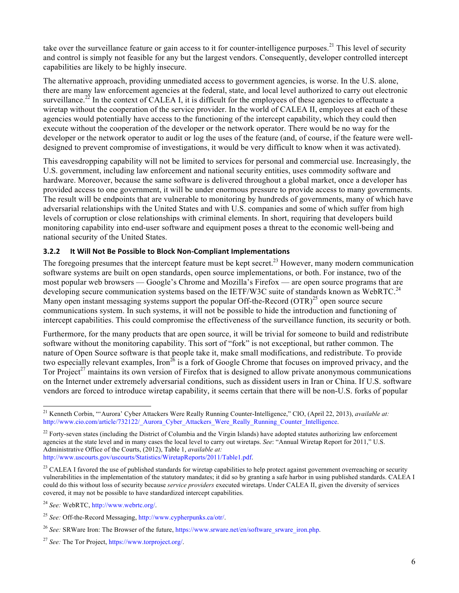take over the surveillance feature or gain access to it for counter-intelligence purposes.<sup>21</sup> This level of security and control is simply not feasible for any but the largest vendors. Consequently, developer controlled intercept capabilities are likely to be highly insecure.

The alternative approach, providing unmediated access to government agencies, is worse. In the U.S. alone, there are many law enforcement agencies at the federal, state, and local level authorized to carry out electronic surveillance.<sup>22</sup> In the context of CALEA I, it is difficult for the employees of these agencies to effectuate a wiretap without the cooperation of the service provider. In the world of CALEA II, employees at each of these agencies would potentially have access to the functioning of the intercept capability, which they could then execute without the cooperation of the developer or the network operator. There would be no way for the developer or the network operator to audit or log the uses of the feature (and, of course, if the feature were welldesigned to prevent compromise of investigations, it would be very difficult to know when it was activated).

This eavesdropping capability will not be limited to services for personal and commercial use. Increasingly, the U.S. government, including law enforcement and national security entities, uses commodity software and hardware. Moreover, because the same software is delivered throughout a global market, once a developer has provided access to one government, it will be under enormous pressure to provide access to many governments. The result will be endpoints that are vulnerable to monitoring by hundreds of governments, many of which have adversarial relationships with the United States and with U.S. companies and some of which suffer from high levels of corruption or close relationships with criminal elements. In short, requiring that developers build monitoring capability into end-user software and equipment poses a threat to the economic well-being and national security of the United States.

#### **3.2.2** It Will Not Be Possible to Block Non-Compliant Implementations

The foregoing presumes that the intercept feature must be kept secret.<sup>23</sup> However, many modern communication software systems are built on open standards, open source implementations, or both. For instance, two of the most popular web browsers — Google's Chrome and Mozilla's Firefox — are open source programs that are developing secure communication systems based on the IETF/W3C suite of standards known as WebRTC.<sup>24</sup> Many open instant messaging systems support the popular Off-the-Record  $(OTR)^{25}$  open source secure communications system. In such systems, it will not be possible to hide the introduction and functioning of intercept capabilities. This could compromise the effectiveness of the surveillance function, its security or both.

Furthermore, for the many products that are open source, it will be trivial for someone to build and redistribute software without the monitoring capability. This sort of "fork" is not exceptional, but rather common. The nature of Open Source software is that people take it, make small modifications, and redistribute. To provide two especially relevant examples, Iron<sup>26</sup> is a fork of Google Chrome that focuses on improved privacy, and the Tor Project<sup>27</sup> maintains its own version of Firefox that is designed to allow private anonymous communications on the Internet under extremely adversarial conditions, such as dissident users in Iran or China. If U.S. software vendors are forced to introduce wiretap capability, it seems certain that there will be non-U.S. forks of popular

 <sup>21</sup> Kenneth Corbin, "'Aurora' Cyber Attackers Were Really Running Counter-Intelligence," CIO, (April 22, 2013), *available at:* http://www.cio.com/article/732122/\_Aurora\_Cyber\_Attackers\_Were\_Really\_Running\_Counter\_Intelligence.

 $^{22}$  Forty-seven states (including the District of Columbia and the Virgin Islands) have adopted statutes authorizing law enforcement agencies at the state level and in many cases the local level to carry out wiretaps. *See*: "Annual Wiretap Report for 2011," U.S. Administrative Office of the Courts, (2012), Table 1, *available at:* http://www.uscourts.gov/uscourts/Statistics/WiretapReports/2011/Table1.pdf.

<sup>&</sup>lt;sup>23</sup> CALEA I favored the use of published standards for wiretap capabilities to help protect against government overreaching or security vulnerabilities in the implementation of the statutory mandates; it did so by granting a safe harbor in using published standards. CALEA I could do this without loss of security because *service providers* executed wiretaps. Under CALEA II, given the diversity of services covered, it may not be possible to have standardized intercept capabilities.

<sup>24</sup> *See:* WebRTC, http://www.webrtc.org/.

<sup>25</sup> *See:* Off-the-Record Messaging, http://www.cypherpunks.ca/otr/.

<sup>&</sup>lt;sup>26</sup> *See:* SRWare Iron: The Browser of the future, https://www.srware.net/en/software\_srware\_iron.php.

<sup>27</sup> *See:* The Tor Project, https://www.torproject.org/.